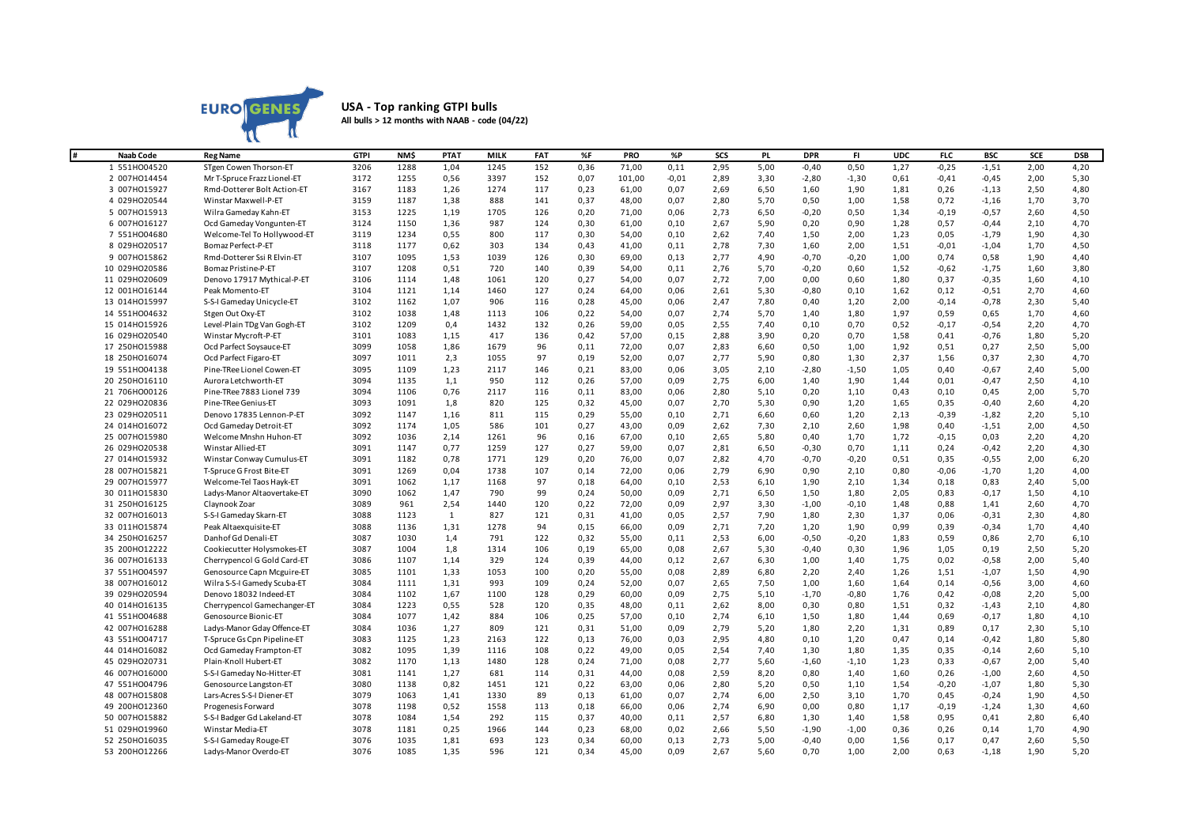

## **USA - Top ranking GTPI bulls All bulls > 12 months with NAAB - code (04/22)**

| #<br><b>Naab Code</b> | <b>Reg Name</b>             | <b>GTPI</b> | NM\$ | PTA1         | MILK | FAT | %F   | PRO    | %P      | SCS  | <b>PL</b> | <b>DPR</b> | FI.     | <b>UDC</b> | <b>FLC</b> | <b>BSC</b> | SCE  | <b>DSB</b> |
|-----------------------|-----------------------------|-------------|------|--------------|------|-----|------|--------|---------|------|-----------|------------|---------|------------|------------|------------|------|------------|
| 1 551H004520          | STgen Cowen Thorson-ET      | 3206        | 1288 | 1,04         | 1245 | 152 | 0,36 | 71,00  | 0,11    | 2,95 | 5,00      | $-0,40$    | 0,50    | 1,27       | $-0,25$    | $-1,51$    | 2,00 | 4,20       |
| 2 007HO14454          | Mr T-Spruce Frazz Lionel-ET | 3172        | 1255 | 0,56         | 3397 | 152 | 0,07 | 101,00 | $-0,01$ | 2,89 | 3,30      | $-2,80$    | $-1,30$ | 0,61       | $-0,41$    | $-0,45$    | 2,00 | 5,30       |
| 3 007HO15927          | Rmd-Dotterer Bolt Action-ET | 3167        | 1183 | 1,26         | 1274 | 117 | 0,23 | 61,00  | 0,07    | 2,69 | 6,50      | 1,60       | 1,90    | 1,81       | 0,26       | $-1,13$    | 2,50 | 4,80       |
| 4 029HO20544          | Winstar Maxwell-P-ET        | 3159        | 1187 | 1,38         | 888  | 141 | 0,37 | 48,00  | 0,07    | 2,80 | 5,70      | 0,50       | 1,00    | 1,58       | 0,72       | $-1,16$    | 1,70 | 3,70       |
| 5 007HO15913          | Wilra Gameday Kahn-ET       | 3153        | 1225 | 1,19         | 1705 | 126 | 0,20 | 71,00  | 0,06    | 2,73 | 6,50      | $-0,20$    | 0,50    | 1,34       | $-0,19$    | $-0,57$    | 2,60 | 4,50       |
| 6 007HO16127          | Ocd Gameday Vongunten-ET    | 3124        | 1150 | 1,36         | 987  | 124 | 0,30 | 61,00  | 0,10    | 2,67 | 5,90      | 0,20       | 0,90    | 1,28       | 0,57       | $-0,44$    | 2,10 | 4,70       |
| 7 551H004680          | Welcome-Tel To Hollywood-ET | 3119        | 1234 | 0,55         | 800  | 117 | 0,30 | 54,00  | 0,10    | 2,62 | 7,40      | 1,50       | 2,00    | 1,23       | 0,05       | $-1,79$    | 1,90 | 4,30       |
| 8 029HO20517          | Bomaz Perfect-P-ET          | 3118        | 1177 | 0,62         | 303  | 134 | 0,43 | 41,00  | 0,11    | 2,78 | 7,30      | 1,60       | 2,00    | 1,51       | $-0,01$    | $-1,04$    | 1,70 | 4,50       |
| 9 007HO15862          | Rmd-Dotterer Ssi R Elvin-ET | 3107        | 1095 | 1,53         | 1039 | 126 | 0,30 | 69,00  | 0,13    | 2,77 | 4,90      | $-0,70$    | $-0,20$ | 1,00       | 0,74       | 0,58       | 1,90 | 4,40       |
| 10 029HO20586         | Bomaz Pristine-P-ET         | 3107        | 1208 | 0,51         | 720  | 140 | 0,39 | 54,00  | 0,11    | 2,76 | 5,70      | $-0,20$    | 0,60    | 1,52       | $-0,62$    | $-1,75$    | 1,60 | 3,80       |
| 11 029HO20609         | Denovo 17917 Mythical-P-ET  | 3106        | 1114 | 1,48         | 1061 | 120 | 0,27 | 54,00  | 0,07    | 2,72 | 7,00      | 0,00       | 0,60    | 1,80       | 0,37       | $-0,35$    | 1,60 | 4,10       |
| 12 001HO16144         | Peak Momento-ET             | 3104        | 1121 | 1,14         | 1460 | 127 | 0,24 | 64,00  | 0,06    | 2,61 | 5,30      | $-0,80$    | 0,10    | 1,62       | 0,12       | $-0,51$    | 2,70 | 4,60       |
| 13 014H015997         | S-S-I Gameday Unicycle-ET   | 3102        | 1162 | 1,07         | 906  | 116 | 0,28 | 45,00  | 0,06    | 2,47 | 7,80      | 0,40       | 1,20    | 2,00       | $-0,14$    | $-0,78$    | 2,30 | 5,40       |
| 14 551H004632         | Stgen Out Oxy-ET            | 3102        | 1038 | 1,48         | 1113 | 106 | 0,22 | 54,00  | 0,07    | 2,74 | 5,70      | 1,40       | 1,80    | 1,97       | 0,59       | 0,65       | 1,70 | 4,60       |
| 15 014H015926         | Level-Plain TDg Van Gogh-ET | 3102        | 1209 | 0,4          | 1432 | 132 | 0,26 | 59,00  | 0,05    | 2,55 | 7,40      | 0,10       | 0,70    | 0,52       | $-0,17$    | $-0,54$    | 2,20 | 4,70       |
| 16 029HO20540         | Winstar Mycroft-P-ET        | 3101        | 1083 | 1,15         | 417  | 136 | 0,42 | 57,00  | 0,15    | 2,88 | 3,90      | 0,20       | 0,70    | 1,58       | 0,41       | $-0,76$    | 1,80 | 5,20       |
| 17 250HO15988         | Ocd Parfect Soysauce-ET     | 3099        | 1058 | 1,86         | 1679 | 96  | 0,11 | 72,00  | 0,07    | 2,83 | 6,60      | 0,50       | 1,00    | 1,92       | 0,51       | 0,27       | 2,50 | 5,00       |
| 18 250HO16074         | Ocd Parfect Figaro-ET       | 3097        | 1011 | 2,3          | 1055 | 97  | 0,19 | 52,00  | 0,07    | 2,77 | 5,90      | 0,80       | 1,30    | 2,37       | 1,56       | 0,37       | 2,30 | 4,70       |
| 19 551H004138         | Pine-TRee Lionel Cowen-ET   | 3095        | 1109 | 1,23         | 2117 | 146 | 0,21 | 83,00  | 0,06    | 3,05 | 2,10      | $-2,80$    | $-1,50$ | 1,05       | 0,40       | $-0,67$    | 2,40 | 5,00       |
| 20 250HO16110         | Aurora Letchworth-ET        | 3094        | 1135 | 1,1          | 950  | 112 | 0,26 | 57,00  | 0,09    | 2,75 | 6,00      | 1,40       | 1,90    | 1,44       | 0,01       | $-0,47$    | 2,50 | 4,10       |
| 21 706HO00126         | Pine-TRee 7883 Lionel 739   | 3094        | 1106 | 0,76         | 2117 | 116 | 0,11 | 83,00  | 0,06    | 2,80 | 5,10      | 0,20       | 1,10    | 0,43       | 0,10       | 0,45       | 2,00 | 5,70       |
| 22 029HO20836         | Pine-TRee Genius-ET         | 3093        | 1091 | 1,8          | 820  | 125 | 0,32 | 45,00  | 0,07    | 2,70 | 5,30      | 0,90       | 1,20    | 1,65       | 0,35       | $-0,40$    | 2,60 | 4,20       |
| 23 029H020511         | Denovo 17835 Lennon-P-ET    | 3092        | 1147 | 1,16         | 811  | 115 | 0,29 | 55,00  | 0,10    | 2,71 | 6,60      | 0,60       | 1,20    | 2,13       | $-0,39$    | $-1,82$    | 2,20 | 5,10       |
| 24 014H016072         | Ocd Gameday Detroit-ET      | 3092        | 1174 | 1,05         | 586  | 101 | 0,27 | 43,00  | 0,09    | 2,62 | 7,30      | 2,10       | 2,60    | 1,98       | 0,40       | $-1,51$    | 2,00 | 4,50       |
| 25 007H015980         | Welcome Mnshn Huhon-ET      | 3092        | 1036 | 2,14         | 1261 | 96  | 0,16 | 67,00  | 0,10    | 2,65 | 5,80      | 0,40       | 1,70    | 1,72       | $-0,15$    | 0,03       | 2,20 | 4,20       |
| 26 029HO20538         | Winstar Allied-ET           | 3091        | 1147 | 0,77         | 1259 | 127 | 0,27 | 59,00  | 0,07    | 2,81 | 6,50      | $-0,30$    | 0,70    | 1,11       | 0,24       | $-0,42$    | 2,20 | 4,30       |
| 27 014H015932         | Winstar Conway Cumulus-ET   | 3091        | 1182 | 0,78         | 1771 | 129 | 0,20 | 76,00  | 0,07    | 2,82 | 4,70      | $-0,70$    | $-0,20$ | 0,51       | 0,35       | $-0,55$    | 2,00 | 6,20       |
| 28 007H015821         | T-Spruce G Frost Bite-ET    | 3091        | 1269 | 0,04         | 1738 | 107 | 0,14 | 72,00  | 0,06    | 2,79 | 6,90      | 0,90       | 2,10    | 0,80       | $-0,06$    | $-1,70$    | 1,20 | 4,00       |
| 29 007H015977         | Welcome-Tel Taos Hayk-ET    | 3091        | 1062 | 1,17         | 1168 | 97  | 0,18 | 64,00  | 0,10    | 2,53 | 6,10      | 1,90       | 2,10    | 1,34       | 0,18       | 0,83       | 2,40 | 5,00       |
| 30 011H015830         | Ladys-Manor Altaovertake-ET | 3090        | 1062 | 1,47         | 790  | 99  | 0,24 | 50,00  | 0,09    | 2,71 | 6,50      | 1,50       | 1,80    | 2,05       | 0,83       | $-0,17$    | 1,50 | 4,10       |
| 31 250HO16125         | Claynook Zoar               | 3089        | 961  | 2,54         | 1440 | 120 | 0,22 | 72,00  | 0,09    | 2,97 | 3,30      | $-1,00$    | $-0,10$ | 1,48       | 0,88       | 1,41       | 2,60 | 4,70       |
| 32 007H016013         | S-S-I Gameday Skarn-ET      | 3088        | 1123 | $\mathbf{1}$ | 827  | 121 | 0,31 | 41,00  | 0,05    | 2,57 | 7,90      | 1,80       | 2,30    | 1,37       | 0,06       | $-0,31$    | 2,30 | 4,80       |
| 33 011H015874         | Peak Altaexquisite-ET       | 3088        | 1136 | 1,31         | 1278 | 94  | 0,15 | 66,00  | 0,09    | 2,71 | 7,20      | 1,20       | 1,90    | 0,99       | 0,39       | $-0,34$    | 1,70 | 4,40       |
| 34 250HO16257         | Danhof Gd Denali-ET         | 3087        | 1030 | 1,4          | 791  | 122 | 0,32 | 55,00  | 0,11    | 2,53 | 6,00      | $-0,50$    | $-0,20$ | 1,83       | 0,59       | 0,86       | 2,70 | 6,10       |
| 35 200HO12222         | Cookiecutter Holysmokes-ET  | 3087        | 1004 | 1,8          | 1314 | 106 | 0,19 | 65,00  | 0,08    | 2,67 | 5,30      | $-0,40$    | 0,30    | 1,96       | 1,05       | 0,19       | 2,50 | 5,20       |
| 36 007H016133         | Cherrypencol G Gold Card-ET | 3086        | 1107 | 1,14         | 329  | 124 | 0,39 | 44,00  | 0,12    | 2,67 | 6,30      | 1,00       | 1,40    | 1,75       | 0,02       | $-0,58$    | 2,00 | 5,40       |
| 37 551H004597         | Genosource Capn Mcguire-ET  | 3085        | 1101 | 1,33         | 1053 | 100 | 0,20 | 55,00  | 0,08    | 2,89 | 6,80      | 2,20       | 2,40    | 1,26       | 1,51       | $-1,07$    | 1,50 | 4,90       |
| 38 007H016012         | Wilra S-S-I Gamedy Scuba-ET | 3084        | 1111 | 1,31         | 993  | 109 | 0,24 | 52,00  | 0,07    | 2,65 | 7,50      | 1,00       | 1,60    | 1,64       | 0,14       | $-0,56$    | 3,00 | 4,60       |
| 39 029HO20594         | Denovo 18032 Indeed-ET      | 3084        | 1102 | 1,67         | 1100 | 128 | 0,29 | 60,00  | 0,09    | 2,75 | 5,10      | $-1,70$    | $-0,80$ | 1,76       | 0,42       | $-0,08$    | 2,20 | 5,00       |
| 40 014H016135         | Cherrypencol Gamechanger-ET | 3084        | 1223 | 0,55         | 528  | 120 | 0,35 | 48,00  | 0,11    | 2,62 | 8,00      | 0,30       | 0,80    | 1,51       | 0,32       | $-1,43$    | 2,10 | 4,80       |
| 41 551H004688         | Genosource Bionic-ET        | 3084        | 1077 | 1,42         | 884  | 106 | 0,25 | 57,00  | 0,10    | 2,74 | 6,10      | 1,50       | 1,80    | 1,44       | 0,69       | $-0,17$    | 1,80 | 4,10       |
| 42 007H016288         | Ladys-Manor Gday Offence-ET | 3084        | 1036 | 1,27         | 809  | 121 | 0,31 | 51,00  | 0,09    | 2,79 | 5,20      | 1,80       | 2,20    | 1,31       | 0,89       | 0,17       | 2,30 | 5,10       |
| 43 551H004717         | T-Spruce Gs Cpn Pipeline-ET | 3083        | 1125 | 1,23         | 2163 | 122 | 0,13 | 76,00  | 0,03    | 2,95 | 4,80      | 0,10       | 1,20    | 0,47       | 0,14       | $-0,42$    | 1,80 | 5,80       |
| 44 014H016082         | Ocd Gameday Frampton-ET     | 3082        | 1095 | 1,39         | 1116 | 108 | 0,22 | 49,00  | 0,05    | 2,54 | 7,40      | 1,30       | 1,80    | 1,35       | 0,35       | $-0,14$    | 2,60 | 5,10       |
| 45 029HO20731         | Plain-Knoll Hubert-ET       | 3082        | 1170 | 1,13         | 1480 | 128 | 0,24 | 71,00  | 0,08    | 2,77 | 5,60      | $-1,60$    | $-1,10$ | 1,23       | 0,33       | $-0,67$    | 2,00 | 5,40       |
| 46 007H016000         | S-S-I Gameday No-Hitter-ET  | 3081        | 1141 | 1,27         | 681  | 114 | 0,31 | 44,00  | 0,08    | 2,59 | 8,20      | 0,80       | 1,40    | 1,60       | 0,26       | $-1,00$    | 2,60 | 4,50       |
| 47 551HO04796         | Genosource Langston-ET      | 3080        | 1138 | 0,82         | 1451 | 121 | 0,22 | 63,00  | 0,06    | 2,80 | 5,20      | 0,50       | 1,10    | 1,54       | $-0,20$    | $-1,07$    | 1,80 | 5,30       |
| 48 007H015808         | Lars-Acres S-S-I Diener-ET  | 3079        | 1063 | 1,41         | 1330 | 89  | 0,13 | 61,00  | 0,07    | 2,74 | 6,00      | 2,50       | 3,10    | 1,70       | 0,45       | $-0,24$    | 1,90 | 4,50       |
| 49 200HO12360         | Progenesis Forward          | 3078        | 1198 | 0,52         | 1558 | 113 | 0,18 | 66,00  | 0,06    | 2,74 | 6,90      | 0,00       | 0,80    | 1,17       | $-0,19$    | $-1,24$    | 1,30 | 4,60       |
| 50 007H015882         | S-S-I Badger Gd Lakeland-ET | 3078        | 1084 | 1,54         | 292  | 115 | 0,37 | 40,00  | 0,11    | 2,57 | 6,80      | 1,30       | 1,40    | 1,58       | 0,95       | 0,41       | 2,80 | 6,40       |
| 51 029H019960         | <b>Winstar Media-ET</b>     | 3078        | 1181 | 0,25         | 1966 | 144 | 0,23 | 68,00  | 0,02    | 2,66 | 5,50      | $-1,90$    | $-1,00$ | 0,36       | 0,26       | 0,14       | 1,70 | 4,90       |
| 52 250HO16035         | S-S-I Gameday Rouge-ET      | 3076        | 1035 | 1,81         | 693  | 123 | 0,34 | 60,00  | 0,13    | 2,73 | 5,00      | $-0,40$    | 0,00    | 1,56       | 0,17       | 0,47       | 2,60 | 5,50       |
| 53 200HO12266         | Ladys-Manor Overdo-ET       | 3076        | 1085 | 1,35         | 596  | 121 | 0,34 | 45,00  | 0,09    | 2,67 | 5,60      | 0,70       | 1,00    | 2,00       | 0,63       | $-1,18$    | 1,90 | 5,20       |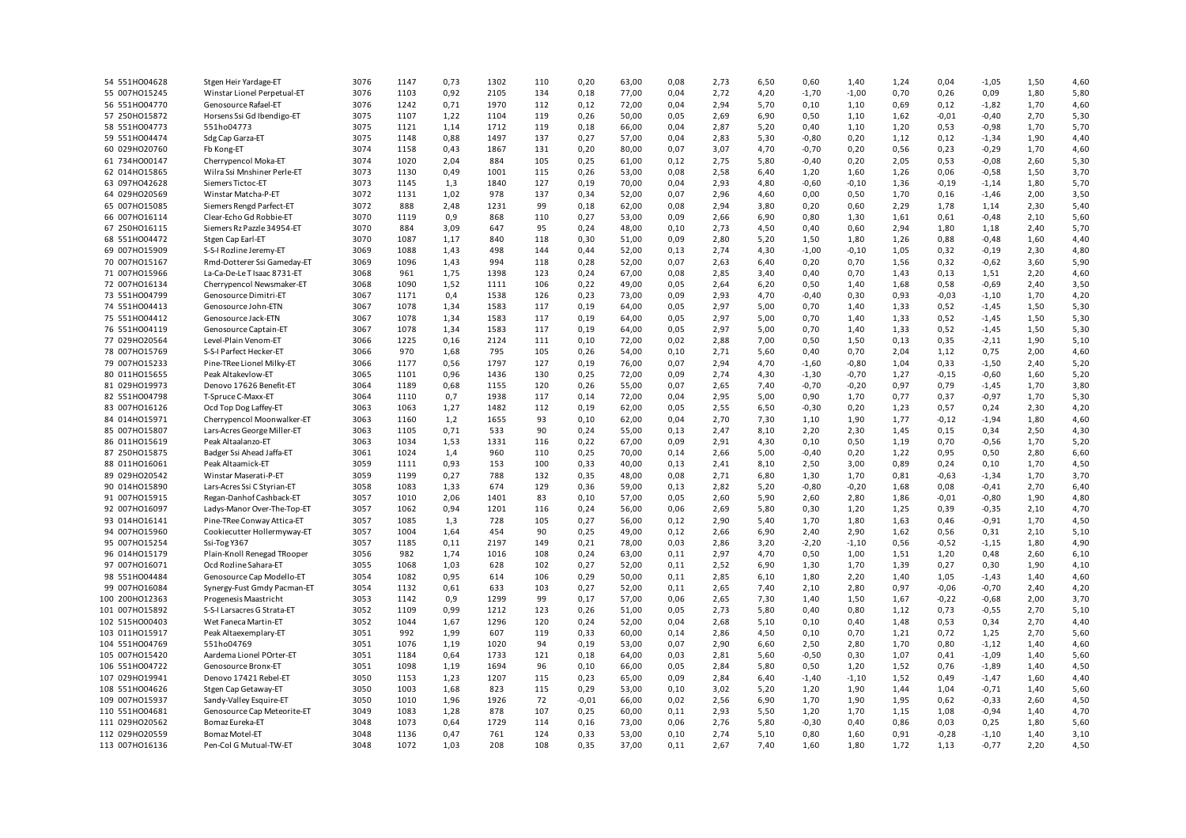| 54 551H004628  | Stgen Heir Yardage-ET       | 3076 | 1147 | 0,73 | 1302 | 110 | 0,20    | 63,00 | 0,08 | 2,73 | 6,50 | 0,60    | 1,40    | 1,24 | 0,04    | $-1,05$ | 1,50 | 4,60 |
|----------------|-----------------------------|------|------|------|------|-----|---------|-------|------|------|------|---------|---------|------|---------|---------|------|------|
| 55 007H015245  | Winstar Lionel Perpetual-ET | 3076 | 1103 | 0,92 | 2105 | 134 | 0,18    | 77,00 | 0,04 | 2,72 | 4,20 | $-1,70$ | $-1,00$ | 0,70 | 0,26    | 0,09    | 1,80 | 5,80 |
| 56 551H004770  | Genosource Rafael-ET        | 3076 | 1242 | 0,71 | 1970 | 112 | 0,12    | 72,00 | 0,04 | 2,94 | 5,70 | 0,10    | 1,10    | 0,69 | 0,12    | $-1,82$ | 1,70 | 4,60 |
| 57 250HO15872  | Horsens Ssi Gd Ibendigo-ET  | 3075 | 1107 | 1,22 | 1104 | 119 | 0,26    | 50,00 | 0,05 | 2,69 | 6,90 | 0,50    | 1,10    | 1,62 | $-0,01$ | $-0,40$ | 2,70 | 5,30 |
| 58 551H004773  | 551ho04773                  | 3075 | 1121 | 1,14 | 1712 | 119 | 0,18    | 66,00 | 0,04 | 2,87 | 5,20 | 0,40    | 1,10    | 1,20 | 0,53    | $-0,98$ | 1,70 | 5,70 |
| 59 551HO04474  | Sdg Cap Garza-ET            | 3075 | 1148 | 0,88 | 1497 | 137 | 0,27    | 57,00 | 0,04 | 2,83 | 5,30 | $-0,80$ | 0,20    | 1,12 | 0,12    | $-1,34$ | 1,90 | 4,40 |
| 60 029HO20760  | Fb Kong-ET                  | 3074 | 1158 | 0,43 | 1867 | 131 | 0,20    | 80,00 | 0,07 | 3,07 | 4,70 | $-0,70$ | 0,20    | 0,56 | 0,23    | $-0,29$ | 1,70 | 4,60 |
| 61 734H000147  | Cherrypencol Moka-ET        | 3074 | 1020 | 2,04 | 884  | 105 | 0,25    | 61,00 | 0,12 | 2,75 | 5,80 | $-0,40$ | 0,20    | 2,05 | 0,53    | $-0,08$ | 2,60 | 5,30 |
| 62 014H015865  | Wilra Ssi Mnshiner Perle-ET | 3073 | 1130 | 0,49 | 1001 | 115 | 0,26    | 53,00 | 0,08 | 2,58 | 6,40 | 1,20    | 1,60    | 1,26 | 0,06    | $-0,58$ | 1,50 | 3,70 |
| 63 097H042628  | Siemers Tictoc-ET           | 3073 | 1145 | 1,3  | 1840 | 127 | 0,19    | 70,00 | 0,04 | 2,93 |      | $-0,60$ | $-0,10$ | 1,36 | $-0,19$ |         | 1,80 | 5,70 |
|                |                             | 3072 | 1131 |      | 978  |     |         |       |      |      | 4,80 |         |         |      |         | $-1,14$ |      |      |
| 64 029HO20569  | Winstar Matcha-P-ET         |      |      | 1,02 |      | 137 | 0,34    | 52,00 | 0,07 | 2,96 | 4,60 | 0,00    | 0,50    | 1,70 | 0,16    | $-1,46$ | 2,00 | 3,50 |
| 65 007HO15085  | Siemers Rengd Parfect-ET    | 3072 | 888  | 2,48 | 1231 | 99  | 0,18    | 62,00 | 0,08 | 2,94 | 3,80 | 0,20    | 0,60    | 2,29 | 1,78    | 1,14    | 2,30 | 5,40 |
| 66 007H016114  | Clear-Echo Gd Robbie-ET     | 3070 | 1119 | 0,9  | 868  | 110 | 0,27    | 53,00 | 0,09 | 2,66 | 6,90 | 0,80    | 1,30    | 1,61 | 0,61    | $-0,48$ | 2,10 | 5,60 |
| 67 250HO16115  | Siemers Rz Pazzle 34954-ET  | 3070 | 884  | 3,09 | 647  | 95  | 0,24    | 48,00 | 0,10 | 2,73 | 4,50 | 0,40    | 0,60    | 2,94 | 1,80    | 1,18    | 2,40 | 5,70 |
| 68 551H004472  | Stgen Cap Earl-ET           | 3070 | 1087 | 1,17 | 840  | 118 | 0,30    | 51,00 | 0,09 | 2,80 | 5,20 | 1,50    | 1,80    | 1,26 | 0,88    | $-0,48$ | 1,60 | 4,40 |
| 69 007HO15909  | S-S-I Rozline Jeremy-ET     | 3069 | 1088 | 1,43 | 498  | 144 | 0,44    | 52,00 | 0,13 | 2,74 | 4,30 | $-1,00$ | $-0,10$ | 1,05 | 0,32    | $-0,19$ | 2,30 | 4,80 |
| 70 007H015167  | Rmd-Dotterer Ssi Gameday-ET | 3069 | 1096 | 1,43 | 994  | 118 | 0,28    | 52,00 | 0,07 | 2,63 | 6,40 | 0,20    | 0,70    | 1,56 | 0,32    | $-0,62$ | 3,60 | 5,90 |
| 71 007H015966  | La-Ca-De-Le T Isaac 8731-ET | 3068 | 961  | 1,75 | 1398 | 123 | 0,24    | 67,00 | 0,08 | 2,85 | 3,40 | 0,40    | 0,70    | 1,43 | 0,13    | 1,51    | 2,20 | 4,60 |
| 72 007H016134  | Cherrypencol Newsmaker-ET   | 3068 | 1090 | 1,52 | 1111 | 106 | 0,22    | 49,00 | 0,05 | 2,64 | 6,20 | 0,50    | 1,40    | 1,68 | 0,58    | $-0,69$ | 2,40 | 3,50 |
| 73 551H004799  | Genosource Dimitri-ET       | 3067 | 1171 | 0,4  | 1538 | 126 | 0,23    | 73,00 | 0,09 | 2,93 | 4,70 | $-0,40$ | 0,30    | 0,93 | $-0,03$ | $-1,10$ | 1,70 | 4,20 |
| 74 551H004413  | Genosource John-ETN         | 3067 | 1078 | 1,34 | 1583 | 117 | 0,19    | 64,00 | 0,05 | 2,97 | 5,00 | 0,70    | 1,40    | 1,33 | 0,52    | $-1,45$ | 1,50 | 5,30 |
| 75 551HO04412  | Genosource Jack-ETN         | 3067 | 1078 | 1,34 | 1583 | 117 | 0,19    | 64,00 | 0,05 | 2,97 | 5,00 | 0,70    | 1,40    | 1,33 | 0,52    | $-1,45$ | 1,50 | 5,30 |
| 76 551H004119  | Genosource Captain-ET       | 3067 | 1078 | 1,34 | 1583 | 117 | 0,19    | 64,00 | 0,05 | 2,97 | 5,00 | 0,70    | 1,40    | 1,33 | 0,52    | $-1,45$ | 1,50 | 5,30 |
| 77 029HO20564  | Level-Plain Venom-ET        | 3066 | 1225 | 0,16 | 2124 | 111 | 0,10    | 72,00 | 0,02 | 2,88 | 7,00 | 0,50    | 1,50    | 0,13 | 0,35    | $-2,11$ | 1,90 | 5,10 |
| 78 007H015769  | S-S-I Parfect Hecker-ET     | 3066 | 970  | 1,68 | 795  | 105 | 0,26    | 54,00 | 0,10 | 2,71 | 5,60 | 0,40    | 0,70    | 2,04 | 1,12    | 0,75    | 2,00 | 4,60 |
| 79 007H015233  | Pine-TRee Lionel Milky-ET   | 3066 | 1177 | 0,56 | 1797 | 127 | 0,19    | 76,00 | 0,07 | 2,94 | 4,70 | $-1,60$ | $-0,80$ | 1,04 | 0,33    | $-1,50$ | 2,40 | 5,20 |
| 80 011H015655  | Peak Altakevlow-ET          | 3065 | 1101 | 0,96 | 1436 | 130 | 0,25    | 72,00 | 0,09 | 2,74 | 4,30 | $-1,30$ | $-0,70$ | 1,27 | $-0,15$ | $-0,60$ | 1,60 | 5,20 |
| 81 029HO19973  | Denovo 17626 Benefit-ET     | 3064 | 1189 | 0,68 | 1155 | 120 | 0,26    | 55,00 | 0,07 | 2,65 | 7,40 | $-0,70$ | $-0,20$ | 0,97 | 0,79    | $-1,45$ | 1,70 | 3,80 |
| 82 551H004798  | T-Spruce C-Maxx-ET          | 3064 | 1110 | 0,7  | 1938 | 117 | 0,14    | 72,00 | 0,04 | 2,95 | 5,00 | 0,90    | 1,70    | 0,77 | 0,37    | $-0,97$ | 1,70 | 5,30 |
| 83 007HO16126  | Ocd Top Dog Laffey-ET       | 3063 | 1063 | 1,27 | 1482 | 112 | 0,19    | 62,00 | 0,05 | 2,55 | 6,50 | $-0,30$ | 0,20    | 1,23 | 0,57    | 0,24    | 2,30 | 4,20 |
| 84 014H015971  | Cherrypencol Moonwalker-ET  | 3063 | 1160 | 1,2  | 1655 | 93  | 0,10    | 62,00 | 0,04 | 2,70 | 7,30 | 1,10    | 1,90    | 1,77 | $-0,12$ | $-1,94$ | 1,80 | 4,60 |
| 85 007HO15807  | Lars-Acres George Miller-ET | 3063 | 1105 | 0,71 | 533  | 90  | 0,24    | 55,00 | 0,13 | 2,47 | 8,10 | 2,20    | 2,30    | 1,45 | 0,15    | 0,34    | 2,50 | 4,30 |
| 86 011H015619  | Peak Altaalanzo-ET          | 3063 | 1034 | 1,53 | 1331 | 116 | 0,22    | 67,00 | 0,09 | 2,91 | 4,30 | 0,10    | 0,50    | 1,19 | 0,70    | $-0,56$ | 1,70 | 5,20 |
|                |                             | 3061 |      |      | 960  | 110 |         |       |      |      |      |         |         |      |         |         |      |      |
| 87 250HO15875  | Badger Ssi Ahead Jaffa-ET   |      | 1024 | 1,4  |      |     | 0,25    | 70,00 | 0,14 | 2,66 | 5,00 | $-0,40$ | 0,20    | 1,22 | 0,95    | 0,50    | 2,80 | 6,60 |
| 88 011H016061  | Peak Altaamick-ET           | 3059 | 1111 | 0,93 | 153  | 100 | 0,33    | 40,00 | 0,13 | 2,41 | 8,10 | 2,50    | 3,00    | 0,89 | 0,24    | 0,10    | 1,70 | 4,50 |
| 89 029HO20542  | Winstar Maserati-P-ET       | 3059 | 1199 | 0,27 | 788  | 132 | 0,35    | 48,00 | 0,08 | 2,71 | 6,80 | 1,30    | 1,70    | 0,81 | $-0,63$ | $-1,34$ | 1,70 | 3,70 |
| 90 014H015890  | Lars-Acres Ssi C Styrian-ET | 3058 | 1083 | 1,33 | 674  | 129 | 0,36    | 59,00 | 0,13 | 2,82 | 5,20 | $-0,80$ | $-0,20$ | 1,68 | 0,08    | $-0,41$ | 2,70 | 6,40 |
| 91 007H015915  | Regan-Danhof Cashback-ET    | 3057 | 1010 | 2,06 | 1401 | 83  | 0,10    | 57,00 | 0,05 | 2,60 | 5,90 | 2,60    | 2,80    | 1,86 | $-0,01$ | $-0,80$ | 1,90 | 4,80 |
| 92 007HO16097  | Ladys-Manor Over-The-Top-ET | 3057 | 1062 | 0,94 | 1201 | 116 | 0,24    | 56,00 | 0,06 | 2,69 | 5,80 | 0,30    | 1,20    | 1,25 | 0,39    | $-0,35$ | 2,10 | 4,70 |
| 93 014HO16141  | Pine-TRee Conway Attica-ET  | 3057 | 1085 | 1,3  | 728  | 105 | 0,27    | 56,00 | 0,12 | 2,90 | 5,40 | 1,70    | 1,80    | 1,63 | 0,46    | -0,91   | 1,70 | 4,50 |
| 94 007H015960  | Cookiecutter Hollermyway-ET | 3057 | 1004 | 1,64 | 454  | 90  | 0,25    | 49,00 | 0,12 | 2,66 | 6,90 | 2,40    | 2,90    | 1,62 | 0,56    | 0,31    | 2,10 | 5,10 |
| 95 007HO15254  | Ssi-Tog Y367                | 3057 | 1185 | 0,11 | 2197 | 149 | 0,21    | 78,00 | 0,03 | 2,86 | 3,20 | $-2,20$ | $-1,10$ | 0,56 | $-0,52$ | $-1,15$ | 1,80 | 4,90 |
| 96 014HO15179  | Plain-Knoll Renegad TRooper | 3056 | 982  | 1,74 | 1016 | 108 | 0,24    | 63,00 | 0,11 | 2,97 | 4,70 | 0,50    | 1,00    | 1,51 | 1,20    | 0,48    | 2,60 | 6,10 |
| 97 007HO16071  | Ocd Rozline Sahara-ET       | 3055 | 1068 | 1,03 | 628  | 102 | 0,27    | 52,00 | 0,11 | 2,52 | 6,90 | 1,30    | 1,70    | 1,39 | 0,27    | 0,30    | 1,90 | 4,10 |
| 98 551H004484  | Genosource Cap Modello-ET   | 3054 | 1082 | 0,95 | 614  | 106 | 0,29    | 50,00 | 0,11 | 2,85 | 6,10 | 1,80    | 2,20    | 1,40 | 1,05    | $-1,43$ | 1,40 | 4,60 |
| 99 007HO16084  | Synergy-Fust Gmdy Pacman-ET | 3054 | 1132 | 0,61 | 633  | 103 | 0,27    | 52,00 | 0,11 | 2,65 | 7,40 | 2,10    | 2,80    | 0,97 | $-0,06$ | $-0,70$ | 2,40 | 4,20 |
| 100 200HO12363 | Progenesis Maastricht       | 3053 | 1142 | 0,9  | 1299 | 99  | 0,17    | 57,00 | 0,06 | 2,65 | 7,30 | 1,40    | 1,50    | 1,67 | $-0,22$ | $-0,68$ | 2,00 | 3,70 |
| 101 007HO15892 | S-S-I Larsacres G Strata-ET | 3052 | 1109 | 0,99 | 1212 | 123 | 0,26    | 51,00 | 0,05 | 2,73 | 5,80 | 0,40    | 0,80    | 1,12 | 0,73    | $-0,55$ | 2,70 | 5,10 |
| 102 515HO00403 | Wet Faneca Martin-ET        | 3052 | 1044 | 1,67 | 1296 | 120 | 0,24    | 52,00 | 0,04 | 2,68 | 5,10 | 0,10    | 0,40    | 1,48 | 0,53    | 0,34    | 2,70 | 4,40 |
| 103 011HO15917 | Peak Altaexemplary-ET       | 3051 | 992  | 1,99 | 607  | 119 | 0,33    | 60,00 | 0,14 | 2,86 | 4,50 | 0,10    | 0,70    | 1,21 | 0,72    | 1,25    | 2,70 | 5,60 |
| 104 551H004769 | 551ho04769                  | 3051 | 1076 | 1,19 | 1020 | 94  | 0,19    | 53,00 | 0,07 | 2,90 | 6,60 | 2,50    | 2,80    | 1,70 | 0,80    | $-1,12$ | 1,40 | 4,60 |
| 105 007HO15420 | Aardema Lionel POrter-ET    | 3051 | 1184 | 0,64 | 1733 | 121 | 0,18    | 64,00 | 0,03 | 2,81 | 5,60 | $-0,50$ | 0,30    | 1,07 | 0,41    | $-1,09$ | 1,40 | 5,60 |
| 106 551HO04722 | Genosource Bronx-ET         | 3051 | 1098 | 1,19 | 1694 | 96  | 0,10    | 66,00 | 0,05 | 2,84 | 5,80 | 0,50    | 1,20    | 1,52 | 0,76    | $-1,89$ | 1,40 | 4,50 |
| 107 029HO19941 | Denovo 17421 Rebel-ET       | 3050 | 1153 | 1,23 | 1207 | 115 | 0,23    | 65,00 | 0,09 | 2,84 | 6,40 | $-1,40$ | $-1,10$ | 1,52 | 0,49    | $-1,47$ | 1,60 | 4,40 |
| 108 551H004626 | Stgen Cap Getaway-ET        | 3050 | 1003 | 1,68 | 823  | 115 | 0,29    | 53,00 | 0,10 | 3,02 | 5,20 | 1,20    | 1,90    | 1,44 | 1,04    | $-0,71$ | 1,40 | 5,60 |
| 109 007HO15937 | Sandy-Valley Esquire-ET     | 3050 | 1010 | 1,96 | 1926 | 72  | $-0,01$ | 66,00 | 0,02 | 2,56 | 6,90 | 1,70    | 1,90    | 1,95 | 0,62    | $-0,33$ | 2,60 | 4,50 |
| 110 551HO04681 | Genosource Cap Meteorite-ET | 3049 | 1083 | 1,28 | 878  | 107 | 0,25    | 60,00 | 0,11 | 2,93 | 5,50 | 1,20    | 1,70    | 1,15 | 1,08    | $-0,94$ | 1,40 | 4,70 |
| 111 029HO20562 | Bomaz Eureka-ET             | 3048 | 1073 | 0,64 | 1729 | 114 | 0,16    | 73,00 | 0,06 | 2,76 | 5,80 | $-0,30$ | 0,40    | 0,86 | 0,03    | 0,25    | 1,80 | 5,60 |
|                |                             |      |      |      |      |     |         |       |      |      |      |         |         |      |         |         |      |      |
| 112 029HO20559 | Bomaz Motel-ET              | 3048 | 1136 | 0,47 | 761  | 124 | 0,33    | 53,00 | 0,10 | 2,74 | 5,10 | 0,80    | 1,60    | 0,91 | $-0,28$ | $-1,10$ | 1,40 | 3,10 |
| 113 007HO16136 | Pen-Col G Mutual-TW-ET      | 3048 | 1072 | 1,03 | 208  | 108 | 0,35    | 37,00 | 0,11 | 2,67 | 7,40 | 1,60    | 1,80    | 1,72 | 1,13    | $-0,77$ | 2,20 | 4,50 |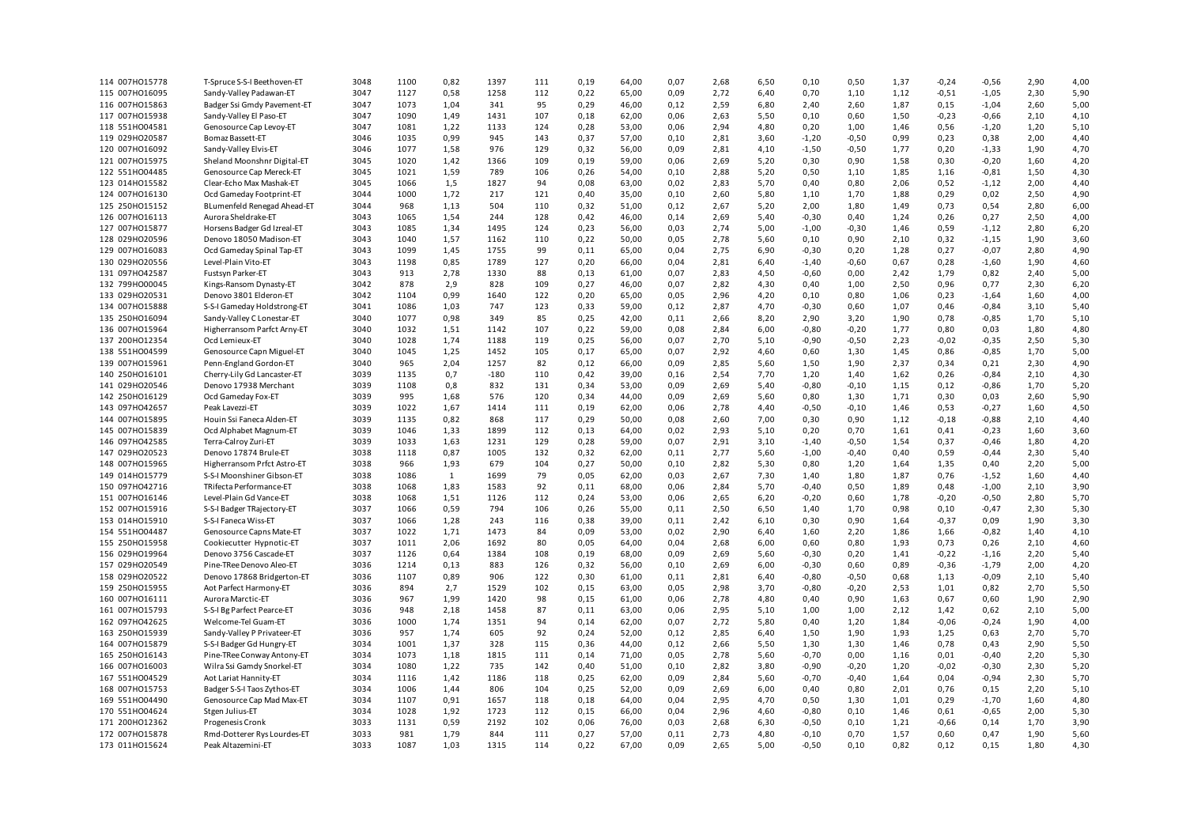| 114 007H015778 | T-Spruce S-S-I Beethoven-ET | 3048 | 1100 | 0,82 | 1397   | 111 | 0,19 | 64,00 | 0,07 | 2,68 | 6,50 | 0,10    | 0,50    | 1,37 | $-0,24$ | $-0,56$ | 2,90 | 4,00 |
|----------------|-----------------------------|------|------|------|--------|-----|------|-------|------|------|------|---------|---------|------|---------|---------|------|------|
| 115 007H016095 | Sandy-Valley Padawan-ET     | 3047 | 1127 | 0,58 | 1258   | 112 | 0,22 | 65,00 | 0,09 | 2,72 | 6,40 | 0,70    | 1,10    | 1,12 | $-0,51$ | $-1,05$ | 2,30 | 5,90 |
| 116 007H015863 | Badger Ssi Gmdy Pavement-ET | 3047 | 1073 | 1,04 | 341    | 95  | 0,29 | 46,00 | 0,12 | 2,59 | 6,80 | 2,40    | 2,60    | 1,87 | 0,15    | $-1,04$ | 2,60 | 5,00 |
| 117 007HO15938 | Sandy-Valley El Paso-ET     | 3047 | 1090 | 1,49 | 1431   | 107 | 0,18 | 62,00 | 0,06 | 2,63 | 5,50 | 0,10    | 0,60    | 1,50 | $-0,23$ | $-0,66$ | 2,10 | 4,10 |
|                |                             | 3047 |      |      | 1133   |     |      |       |      | 2,94 |      |         |         |      |         |         |      |      |
| 118 551H004581 | Genosource Cap Levoy-ET     |      | 1081 | 1,22 |        | 124 | 0,28 | 53,00 | 0,06 |      | 4,80 | 0,20    | 1,00    | 1,46 | 0,56    | $-1,20$ | 1,20 | 5,10 |
| 119 029HO20587 | Bomaz Bassett-ET            | 3046 | 1035 | 0,99 | 945    | 143 | 0,37 | 57,00 | 0,10 | 2,81 | 3,60 | $-1,20$ | $-0,50$ | 0,99 | 0,23    | 0,38    | 2,00 | 4,40 |
| 120 007H016092 | Sandy-Valley Elvis-ET       | 3046 | 1077 | 1,58 | 976    | 129 | 0,32 | 56,00 | 0,09 | 2,81 | 4,10 | $-1,50$ | $-0,50$ | 1,77 | 0,20    | $-1,33$ | 1,90 | 4,70 |
| 121 007H015975 | Sheland Moonshnr Digital-ET | 3045 | 1020 | 1,42 | 1366   | 109 | 0,19 | 59,00 | 0,06 | 2,69 | 5,20 | 0,30    | 0,90    | 1,58 | 0,30    | $-0,20$ | 1,60 | 4,20 |
| 122 551H004485 | Genosource Cap Mereck-ET    | 3045 | 1021 | 1,59 | 789    | 106 | 0,26 | 54,00 | 0,10 | 2,88 | 5,20 | 0,50    | 1,10    | 1,85 | 1,16    | $-0,81$ | 1,50 | 4,30 |
| 123 014H015582 | Clear-Echo Max Mashak-ET    | 3045 | 1066 | 1,5  | 1827   | 94  | 0,08 | 63,00 | 0,02 | 2,83 | 5,70 | 0,40    | 0,80    | 2,06 | 0,52    | $-1,12$ | 2,00 | 4,40 |
| 124 007HO16130 | Ocd Gameday Footprint-ET    | 3044 | 1000 | 1,72 | 217    | 121 | 0,40 | 35,00 | 0,10 | 2,60 | 5,80 | 1,10    | 1,70    | 1,88 | 0,29    | 0,02    | 2,50 | 4,90 |
| 125 250HO15152 | BLumenfeld Renegad Ahead-ET | 3044 | 968  | 1,13 | 504    | 110 | 0,32 | 51,00 | 0,12 | 2,67 | 5,20 | 2,00    | 1,80    | 1,49 | 0,73    | 0,54    | 2,80 | 6,00 |
| 126 007HO16113 | Aurora Sheldrake-ET         | 3043 | 1065 | 1,54 | 244    | 128 | 0,42 | 46,00 | 0,14 | 2,69 | 5,40 | $-0,30$ | 0,40    | 1,24 | 0,26    | 0,27    | 2,50 | 4,00 |
| 127 007H015877 | Horsens Badger Gd Izreal-ET | 3043 | 1085 | 1,34 | 1495   | 124 | 0,23 | 56,00 | 0,03 | 2,74 | 5,00 | $-1,00$ | $-0,30$ | 1,46 | 0,59    | $-1,12$ | 2,80 | 6,20 |
|                |                             |      |      |      |        |     |      |       |      |      |      |         |         |      |         |         |      |      |
| 128 029HO20596 | Denovo 18050 Madison-ET     | 3043 | 1040 | 1,57 | 1162   | 110 | 0,22 | 50,00 | 0,05 | 2,78 | 5,60 | 0,10    | 0,90    | 2,10 | 0,32    | $-1,15$ | 1,90 | 3,60 |
| 129 007HO16083 | Ocd Gameday Spinal Tap-ET   | 3043 | 1099 | 1,45 | 1755   | 99  | 0,11 | 65,00 | 0,04 | 2,75 | 6,90 | $-0,30$ | 0,20    | 1,28 | 0,27    | $-0,07$ | 2,80 | 4,90 |
| 130 029HO20556 | Level-Plain Vito-ET         | 3043 | 1198 | 0,85 | 1789   | 127 | 0,20 | 66,00 | 0,04 | 2,81 | 6,40 | $-1,40$ | $-0,60$ | 0,67 | 0,28    | $-1,60$ | 1,90 | 4,60 |
| 131 097H042587 | Fustsyn Parker-ET           | 3043 | 913  | 2,78 | 1330   | 88  | 0,13 | 61,00 | 0,07 | 2,83 | 4,50 | $-0,60$ | 0,00    | 2,42 | 1,79    | 0,82    | 2,40 | 5,00 |
| 132 799H000045 | Kings-Ransom Dynasty-ET     | 3042 | 878  | 2,9  | 828    | 109 | 0,27 | 46,00 | 0,07 | 2,82 | 4,30 | 0,40    | 1,00    | 2,50 | 0,96    | 0,77    | 2,30 | 6,20 |
| 133 029HO20531 | Denovo 3801 Elderon-ET      | 3042 | 1104 | 0,99 | 1640   | 122 | 0,20 | 65,00 | 0,05 | 2,96 | 4,20 | 0,10    | 0,80    | 1,06 | 0,23    | $-1,64$ | 1,60 | 4,00 |
| 134 007HO15888 | S-S-I Gameday Holdstrong-ET | 3041 | 1086 | 1,03 | 747    | 123 | 0,33 | 59,00 | 0,12 | 2,87 | 4,70 | $-0,30$ | 0,60    | 1,07 | 0,46    | $-0,84$ | 3,10 | 5,40 |
| 135 250HO16094 | Sandy-Valley C Lonestar-ET  | 3040 | 1077 | 0,98 | 349    | 85  | 0,25 | 42,00 | 0,11 | 2,66 | 8,20 | 2,90    | 3,20    | 1,90 | 0,78    | $-0,85$ | 1,70 | 5,10 |
| 136 007HO15964 | Higherransom Parfct Arny-ET | 3040 | 1032 | 1,51 | 1142   | 107 | 0,22 | 59,00 | 0,08 | 2,84 | 6,00 | $-0,80$ | $-0,20$ | 1,77 | 0,80    | 0,03    | 1,80 | 4,80 |
| 137 200HO12354 | Ocd Lemieux-ET              | 3040 | 1028 | 1,74 | 1188   | 119 | 0,25 | 56,00 | 0,07 | 2,70 | 5,10 | $-0,90$ | $-0,50$ | 2,23 | $-0,02$ | $-0,35$ | 2,50 | 5,30 |
|                |                             |      |      |      |        |     |      |       |      |      |      |         |         |      |         |         |      |      |
| 138 551H004599 | Genosource Capn Miguel-ET   | 3040 | 1045 | 1,25 | 1452   | 105 | 0,17 | 65,00 | 0,07 | 2,92 | 4,60 | 0,60    | 1,30    | 1,45 | 0,86    | $-0,85$ | 1,70 | 5,00 |
| 139 007HO15961 | Penn-England Gordon-ET      | 3040 | 965  | 2,04 | 1257   | 82  | 0,12 | 66,00 | 0,09 | 2,85 | 5,60 | 1,50    | 1,90    | 2,37 | 0,34    | 0,21    | 2,30 | 4,90 |
| 140 250HO16101 | Cherry-Lily Gd Lancaster-ET | 3039 | 1135 | 0,7  | $-180$ | 110 | 0,42 | 39,00 | 0,16 | 2,54 | 7,70 | 1,20    | 1,40    | 1,62 | 0,26    | $-0,84$ | 2,10 | 4,30 |
| 141 029HO20546 | Denovo 17938 Merchant       | 3039 | 1108 | 0,8  | 832    | 131 | 0,34 | 53,00 | 0,09 | 2,69 | 5,40 | $-0,80$ | $-0,10$ | 1,15 | 0,12    | $-0,86$ | 1,70 | 5,20 |
| 142 250HO16129 | Ocd Gameday Fox-ET          | 3039 | 995  | 1,68 | 576    | 120 | 0,34 | 44,00 | 0,09 | 2,69 | 5,60 | 0,80    | 1,30    | 1,71 | 0,30    | 0,03    | 2,60 | 5,90 |
| 143 097H042657 | Peak Lavezzi-ET             | 3039 | 1022 | 1,67 | 1414   | 111 | 0,19 | 62,00 | 0,06 | 2,78 | 4,40 | $-0,50$ | $-0,10$ | 1,46 | 0,53    | $-0,27$ | 1,60 | 4,50 |
| 144 007HO15895 | Houin Ssi Faneca Alden-ET   | 3039 | 1135 | 0,82 | 868    | 117 | 0,29 | 50,00 | 0,08 | 2,60 | 7,00 | 0,30    | 0,90    | 1,12 | $-0,18$ | $-0,88$ | 2,10 | 4,40 |
| 145 007HO15839 | Ocd Alphabet Magnum-ET      | 3039 | 1046 | 1,33 | 1899   | 112 | 0,13 | 64,00 | 0,02 | 2,93 | 5,10 | 0,20    | 0,70    | 1,61 | 0,41    | $-0,23$ | 1,60 | 3,60 |
| 146 097H042585 | Terra-Calroy Zuri-ET        | 3039 | 1033 | 1,63 | 1231   | 129 | 0,28 | 59,00 | 0,07 | 2,91 | 3,10 | $-1,40$ | $-0,50$ | 1,54 | 0,37    | $-0,46$ | 1,80 | 4,20 |
| 147 029HO20523 | Denovo 17874 Brule-ET       | 3038 | 1118 | 0,87 | 1005   | 132 | 0,32 | 62,00 | 0,11 | 2,77 | 5,60 | $-1,00$ | $-0,40$ | 0,40 | 0,59    | $-0,44$ | 2,30 | 5,40 |
| 148 007H015965 | Higherransom Prfct Astro-ET | 3038 | 966  | 1,93 | 679    | 104 | 0,27 | 50,00 | 0,10 | 2,82 | 5,30 | 0,80    | 1,20    | 1,64 | 1,35    | 0,40    | 2,20 | 5,00 |
| 149 014H015779 |                             | 3038 | 1086 |      | 1699   | 79  | 0,05 |       | 0,03 | 2,67 | 7,30 | 1,40    |         | 1,87 | 0,76    | $-1,52$ |      | 4,40 |
|                | S-S-I Moonshiner Gibson-ET  |      |      | 1    |        |     |      | 62,00 |      |      |      |         | 1,80    |      |         |         | 1,60 |      |
| 150 097H042716 | TRifecta Performance-ET     | 3038 | 1068 | 1,83 | 1583   | 92  | 0,11 | 68,00 | 0,06 | 2,84 | 5,70 | $-0,40$ | 0,50    | 1,89 | 0,48    | $-1,00$ | 2,10 | 3,90 |
| 151 007HO16146 | Level-Plain Gd Vance-ET     | 3038 | 1068 | 1,51 | 1126   | 112 | 0,24 | 53,00 | 0,06 | 2,65 | 6,20 | $-0,20$ | 0,60    | 1,78 | $-0,20$ | $-0,50$ | 2,80 | 5,70 |
| 152 007H015916 | S-S-I Badger TRajectory-ET  | 3037 | 1066 | 0,59 | 794    | 106 | 0,26 | 55,00 | 0,11 | 2,50 | 6,50 | 1,40    | 1,70    | 0,98 | 0,10    | $-0,47$ | 2,30 | 5,30 |
| 153 014H015910 | S-S-I Faneca Wiss-ET        | 3037 | 1066 | 1,28 | 243    | 116 | 0,38 | 39,00 | 0,11 | 2,42 | 6,10 | 0,30    | 0,90    | 1,64 | $-0,37$ | 0,09    | 1,90 | 3,30 |
| 154 551H004487 | Genosource Capns Mate-ET    | 3037 | 1022 | 1,71 | 1473   | 84  | 0,09 | 53,00 | 0,02 | 2,90 | 6,40 | 1,60    | 2,20    | 1,86 | 1,66    | $-0,82$ | 1,40 | 4,10 |
| 155 250HO15958 | Cookiecutter Hypnotic-ET    | 3037 | 1011 | 2,06 | 1692   | 80  | 0,05 | 64,00 | 0,04 | 2,68 | 6,00 | 0,60    | 0,80    | 1,93 | 0,73    | 0.26    | 2,10 | 4,60 |
| 156 029HO19964 | Denovo 3756 Cascade-ET      | 3037 | 1126 | 0,64 | 1384   | 108 | 0,19 | 68,00 | 0,09 | 2,69 | 5,60 | $-0,30$ | 0,20    | 1,41 | $-0,22$ | $-1,16$ | 2,20 | 5,40 |
| 157 029HO20549 | Pine-TRee Denovo Aleo-ET    | 3036 | 1214 | 0,13 | 883    | 126 | 0,32 | 56,00 | 0,10 | 2,69 | 6,00 | $-0,30$ | 0,60    | 0,89 | $-0,36$ | $-1,79$ | 2,00 | 4,20 |
| 158 029HO20522 | Denovo 17868 Bridgerton-ET  | 3036 | 1107 | 0,89 | 906    | 122 | 0,30 | 61,00 | 0,11 | 2,81 | 6,40 | $-0,80$ | $-0,50$ | 0,68 | 1,13    | $-0,09$ | 2,10 | 5,40 |
| 159 250HO15955 | Aot Parfect Harmony-ET      | 3036 | 894  | 2,7  | 1529   | 102 | 0,15 | 63,00 | 0,05 | 2,98 | 3,70 | $-0,80$ | $-0,20$ | 2,53 | 1,01    | 0,82    | 2,70 | 5,50 |
| 160 007HO16111 | Aurora Marctic-ET           | 3036 | 967  | 1,99 | 1420   | 98  | 0,15 |       |      | 2,78 |      | 0,40    | 0,90    | 1,63 | 0,67    | 0,60    | 1,90 | 2,90 |
|                |                             |      |      |      |        |     |      | 61,00 | 0,06 |      | 4,80 |         |         |      |         |         |      |      |
| 161 007H015793 | S-S-I Bg Parfect Pearce-ET  | 3036 | 948  | 2,18 | 1458   | 87  | 0,11 | 63,00 | 0,06 | 2,95 | 5,10 | 1,00    | 1,00    | 2,12 | 1,42    | 0,62    | 2,10 | 5,00 |
| 162 097HO42625 | Welcome-Tel Guam-ET         | 3036 | 1000 | 1,74 | 1351   | 94  | 0,14 | 62,00 | 0,07 | 2,72 | 5,80 | 0,40    | 1,20    | 1,84 | $-0,06$ | $-0,24$ | 1,90 | 4,00 |
| 163 250HO15939 | Sandy-Valley P Privateer-ET | 3036 | 957  | 1,74 | 605    | 92  | 0,24 | 52,00 | 0,12 | 2,85 | 6,40 | 1,50    | 1,90    | 1,93 | 1,25    | 0,63    | 2,70 | 5,70 |
| 164 007HO15879 | S-S-I Badger Gd Hungry-ET   | 3034 | 1001 | 1,37 | 328    | 115 | 0,36 | 44,00 | 0,12 | 2,66 | 5,50 | 1,30    | 1,30    | 1,46 | 0,78    | 0,43    | 2,90 | 5,50 |
| 165 250HO16143 | Pine-TRee Conway Antony-ET  | 3034 | 1073 | 1,18 | 1815   | 111 | 0,14 | 71,00 | 0,05 | 2,78 | 5,60 | $-0,70$ | 0,00    | 1,16 | 0,01    | $-0,40$ | 2,20 | 5,30 |
| 166 007HO16003 | Wilra Ssi Gamdy Snorkel-ET  | 3034 | 1080 | 1,22 | 735    | 142 | 0,40 | 51,00 | 0,10 | 2,82 | 3,80 | $-0,90$ | $-0,20$ | 1,20 | $-0,02$ | $-0,30$ | 2,30 | 5,20 |
| 167 551H004529 | Aot Lariat Hannity-ET       | 3034 | 1116 | 1,42 | 1186   | 118 | 0,25 | 62,00 | 0,09 | 2,84 | 5,60 | $-0,70$ | $-0,40$ | 1,64 | 0,04    | $-0,94$ | 2,30 | 5,70 |
| 168 007H015753 | Badger S-S-I Taos Zythos-ET | 3034 | 1006 | 1,44 | 806    | 104 | 0,25 | 52,00 | 0,09 | 2,69 | 6,00 | 0,40    | 0,80    | 2,01 | 0,76    | 0,15    | 2,20 | 5,10 |
| 169 551H004490 | Genosource Cap Mad Max-ET   | 3034 | 1107 | 0,91 | 1657   | 118 | 0,18 | 64,00 | 0,04 | 2,95 | 4,70 | 0,50    | 1,30    | 1,01 | 0,29    | $-1,70$ | 1,60 | 4,80 |
| 170 551H004624 | Stgen Julius-ET             | 3034 | 1028 | 1,92 | 1723   | 112 | 0,15 | 66,00 | 0,04 | 2,96 | 4,60 | $-0,80$ | 0,10    | 1,46 | 0,61    | $-0,65$ | 2,00 | 5,30 |
| 171 200HO12362 | Progenesis Cronk            | 3033 | 1131 | 0,59 | 2192   | 102 | 0,06 | 76,00 | 0,03 | 2,68 | 6,30 | $-0,50$ | 0,10    | 1,21 | $-0,66$ | 0,14    | 1,70 | 3,90 |
|                |                             |      |      |      |        |     |      |       |      |      |      |         |         |      |         |         |      |      |
| 172 007H015878 | Rmd-Dotterer Rys Lourdes-ET | 3033 | 981  | 1,79 | 844    | 111 | 0,27 | 57,00 | 0,11 | 2,73 | 4,80 | $-0,10$ | 0,70    | 1,57 | 0,60    | 0,47    | 1,90 | 5,60 |
| 173 011H015624 | Peak Altazemini-ET          | 3033 | 1087 | 1,03 | 1315   | 114 | 0,22 | 67,00 | 0,09 | 2,65 | 5,00 | $-0,50$ | 0,10    | 0,82 | 0,12    | 0,15    | 1,80 | 4,30 |